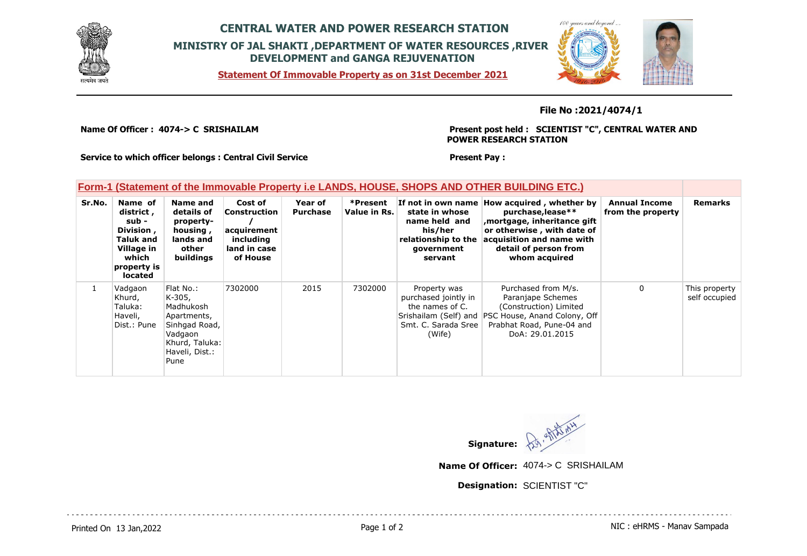

## **CENTRAL WATER AND POWER RESEARCH STATION MINISTRY OF JAL SHAKTI ,DEPARTMENT OF WATER RESOURCES ,RIVER DEVELOPMENT and GANGA REJUVENATION**

**Statement Of Immovable Property as on 31st December 2021**



**File No :2021/4074/1**

**Name Of Officer : 4074-> C SRISHAILAM** 

**Present post held : SCIENTIST "C", CENTRAL WATER AND POWER RESEARCH STATION**

**Service to which officer belongs : Central Civil Service**

## **Present Pay :**

## **Form-1 (Statement of the Immovable Property i.e LANDS, HOUSE, SHOPS AND OTHER BUILDING ETC.)**

| Sr.No. | Name of<br>district,<br>sub -<br>Division,<br><b>Taluk and</b><br>Village in<br>which<br>property is<br>located | Name and<br>details of<br>property-<br>housing,<br>lands and<br>other<br>buildings                                      | Cost of<br>Construction<br>acquirement<br>including<br>land in case<br>of House | Year of<br><b>Purchase</b> | *Present<br>Value in Rs. | state in whose<br>name held and<br>his/her<br>relationship to the<br>government<br>servant | If not in own name How acquired, whether by<br>purchase, lease**<br>mortgage, inheritance gift<br>or otherwise, with date of<br>acquisition and name with<br>detail of person from<br>whom acquired | <b>Annual Income</b><br>from the property | <b>Remarks</b>                 |
|--------|-----------------------------------------------------------------------------------------------------------------|-------------------------------------------------------------------------------------------------------------------------|---------------------------------------------------------------------------------|----------------------------|--------------------------|--------------------------------------------------------------------------------------------|-----------------------------------------------------------------------------------------------------------------------------------------------------------------------------------------------------|-------------------------------------------|--------------------------------|
|        | Vadgaon<br>Khurd,<br>Taluka:<br>Haveli,<br>Dist.: Pune                                                          | Flat No.:<br>K-305,<br>Madhukosh<br>Apartments,<br>Sinhgad Road,<br>Vadgaon<br>Khurd, Taluka:<br>Haveli, Dist.:<br>Pune | 7302000                                                                         | 2015                       | 7302000                  | Property was<br>purchased jointly in<br>the names of C.<br>Smt. C. Sarada Sree<br>(Wife)   | Purchased from M/s.<br>Paranjape Schemes<br>(Construction) Limited<br>Srishailam (Self) and PSC House, Anand Colony, Off<br>Prabhat Road, Pune-04 and<br>DoA: 29.01.2015                            | 0                                         | This property<br>self occupied |



**Name Of Officer:** 4074-> C SRISHAILAM

**Designation:** SCIENTIST "C"